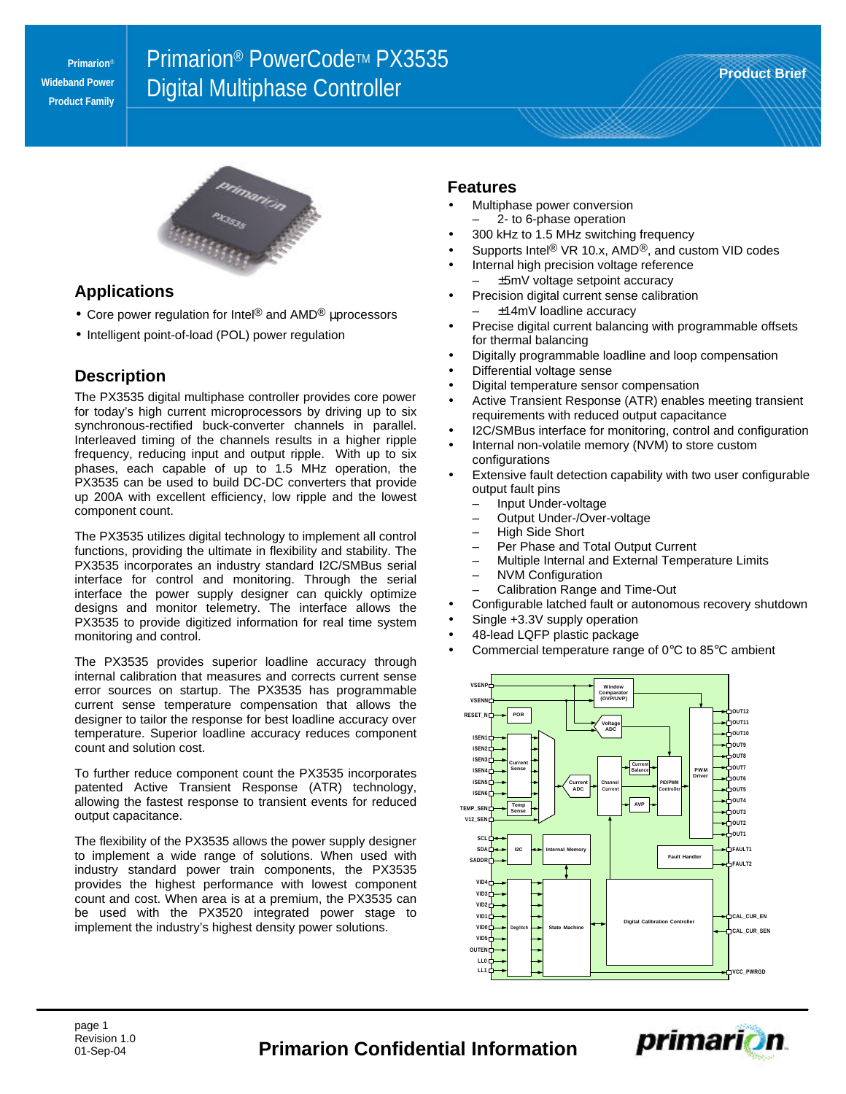**Primarion**® **Wideband Power Product Family**

# **Primarion® PowerCode™ PX3535** Digital Multiphase Controller **Product Brief**



### **Applications**

- Core power regulation for Intel<sup>®</sup> and AMD<sup>®</sup> μprocessors
- Intelligent point-of-load (POL) power regulation

## **Description**

The PX3535 digital multiphase controller provides core power for today's high current microprocessors by driving up to six synchronous-rectified buck-converter channels in parallel. Interleaved timing of the channels results in a higher ripple frequency, reducing input and output ripple. With up to six phases, each capable of up to 1.5 MHz operation, the PX3535 can be used to build DC-DC converters that provide up 200A with excellent efficiency, low ripple and the lowest component count.

The PX3535 utilizes digital technology to implement all control functions, providing the ultimate in flexibility and stability. The PX3535 incorporates an industry standard I2C/SMBus serial interface for control and monitoring. Through the serial interface the power supply designer can quickly optimize designs and monitor telemetry. The interface allows the PX3535 to provide digitized information for real time system monitoring and control.

The PX3535 provides superior loadline accuracy through internal calibration that measures and corrects current sense error sources on startup. The PX3535 has programmable current sense temperature compensation that allows the designer to tailor the response for best loadline accuracy over temperature. Superior loadline accuracy reduces component count and solution cost.

To further reduce component count the PX3535 incorporates patented Active Transient Response (ATR) technology, allowing the fastest response to transient events for reduced output capacitance.

The flexibility of the PX3535 allows the power supply designer to implement a wide range of solutions. When used with industry standard power train components, the PX3535 provides the highest performance with lowest component count and cost. When area is at a premium, the PX3535 can be used with the PX3520 integrated power stage to implement the industry's highest density power solutions.

#### **Features**

- Multiphase power conversion – 2- to 6-phase operation
- 300 kHz to 1.5 MHz switching frequency
- Supports Intel<sup>®</sup> VR 10.x, AMD<sup>®</sup>, and custom VID codes
- Internal high precision voltage reference
	- ±5mV voltage setpoint accuracy
- Precision digital current sense calibration – ±14mV loadline accuracy
- Precise digital current balancing with programmable offsets for thermal balancing
- Digitally programmable loadline and loop compensation
- Differential voltage sense
- Digital temperature sensor compensation
- Active Transient Response (ATR) enables meeting transient requirements with reduced output capacitance
- I2C/SMBus interface for monitoring, control and configuration
- Internal non-volatile memory (NVM) to store custom configurations
- Extensive fault detection capability with two user configurable output fault pins
	- Input Under-voltage
	- Output Under-/Over-voltage
	- High Side Short
	- Per Phase and Total Output Current
	- Multiple Internal and External Temperature Limits
	- NVM Configuration<br>– Calibration Range a
	- Calibration Range and Time-Out
- Configurable latched fault or autonomous recovery shutdown
- Single +3.3V supply operation
- 48-lead LQFP plastic package
- Commercial temperature range of  $0^{\circ}$ C to 85 $^{\circ}$ C ambient